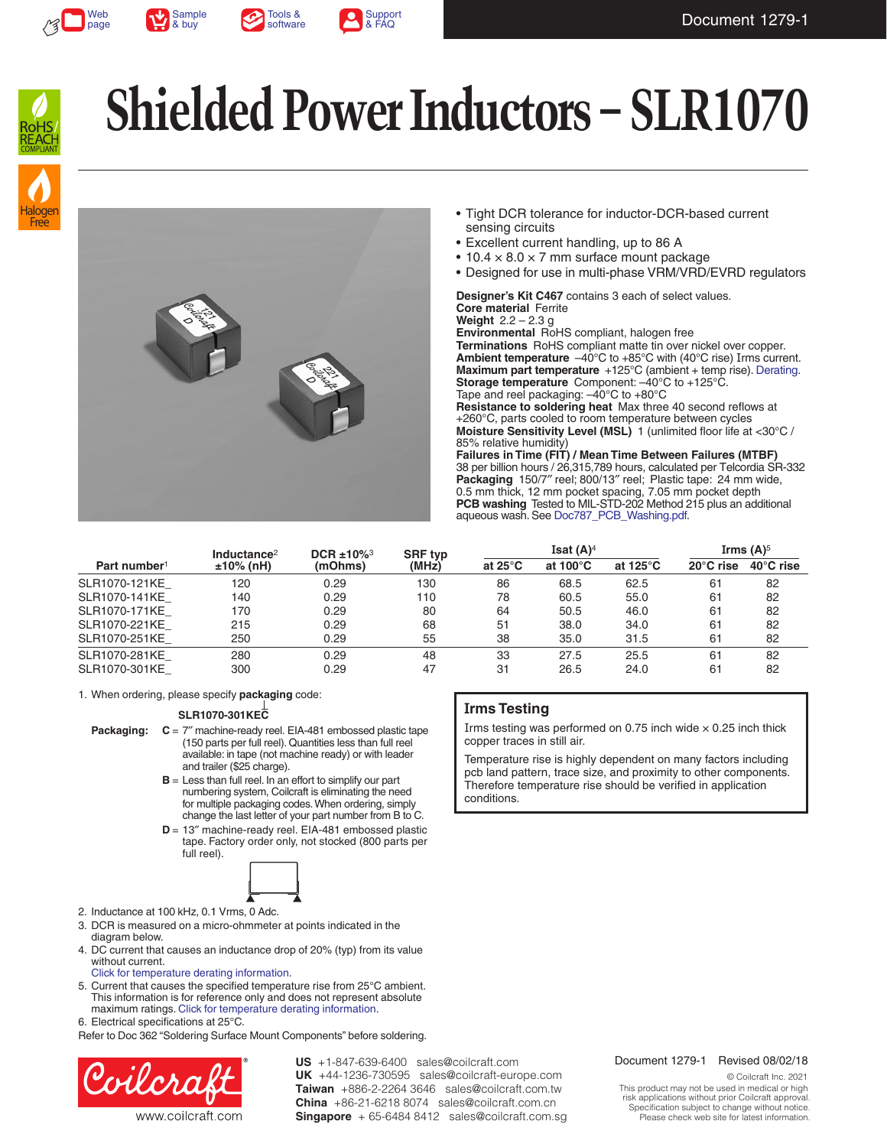







# **Shielded Power Inductors – SLR1070**





- Tight DCR tolerance for inductor-DCR-based current sensing circuits
- Excellent current handling, up to 86 A
- $\bullet$  10.4  $\times$  8.0  $\times$  7 mm surface mount package
- Designed for use in multi-phase VRM/VRD/EVRD regulators

**Designer's Kit C467** contains 3 each of select values. **Core material** Ferrite **Weight** 2.2 – 2.3 g **Environmental** RoHS compliant, halogen free

**Terminations** RoHS compliant matte tin over nickel over copper. **Ambient temperature** –40°C to +85°C with (40°C rise) Irms current. **Maximum part temperature** +125°C (ambient + temp rise). [Derating.](http://www.coilcraft.com/apps/compare/compare_power.cfm) **Storage temperature** Component: –40°C to +125°C. Tape and reel packaging: –40°C to +80°C

**Resistance to soldering heat** Max three 40 second reflows at +260°C, parts cooled to room temperature between cycles **Moisture Sensitivity Level (MSL)** 1 (unlimited floor life at <30°C / 85% relative humidity)

**Failures in Time (FIT) / Mean Time Between Failures (MTBF)** 38 per billion hours / 26,315,789 hours, calculated per Telcordia SR-332 **Packaging** 150/7″ reel; 800/13″ reel; Plastic tape: 24 mm wide, 0.5 mm thick, 12 mm pocket spacing, 7.05 mm pocket depth **PCB washing** Tested to MIL-STD-202 Method 215 plus an additional aqueous wash. See [Doc787\\_PCB\\_Washing.pdf](http://www.coilcraft.com/pdfs/Doc787_PCB_Washing.pdf).

|                          | Inductance <sup>2</sup> | DCR $±10\%$ <sup>3</sup> | <b>SRF typ</b> | Isat $(A)^4$      |                    |                    | Irms $(A)$ <sup>5</sup> |                     |
|--------------------------|-------------------------|--------------------------|----------------|-------------------|--------------------|--------------------|-------------------------|---------------------|
| Part number <sup>1</sup> | $±10\%$ (nH)            | (mOhms)                  | (MHz)          | at 25 $\degree$ C | at $100^{\circ}$ C | at $125^{\circ}$ C | $20^{\circ}$ C rise     | $40^{\circ}$ C rise |
| SLR1070-121KE            | 120                     | 0.29                     | 130            | 86                | 68.5               | 62.5               | 61                      | 82                  |
| SLR1070-141KE            | 140                     | 0.29                     | 110            | 78                | 60.5               | 55.0               | 61                      | 82                  |
| SLR1070-171KE            | 170                     | 0.29                     | 80             | 64                | 50.5               | 46.0               | 61                      | 82                  |
| SLR1070-221KE            | 215                     | 0.29                     | 68             | 51                | 38.0               | 34.0               | 61                      | 82                  |
| SLR1070-251KE            | 250                     | 0.29                     | 55             | 38                | 35.0               | 31.5               | 61                      | 82                  |
| SLR1070-281KE            | 280                     | 0.29                     | 48             | 33                | 27.5               | 25.5               | 61                      | 82                  |
| SLR1070-301KE            | 300                     | 0.29                     | 47             | 31                | 26.5               | 24.0               | 61                      | 82                  |

1. When ordering, please specify **packaging** code:

### **SLR1070-301KEC**

**Packaging: C** = 7″ machine-ready reel. EIA-481 embossed plastic tape (150 parts per full reel). Quantities less than full reel available: in tape (not machine ready) or with leader and trailer (\$25 charge).

- **B** = Less than full reel. In an effort to simplify our part numbering system, Coilcraft is eliminating the need for multiple packaging codes. When ordering, simply change the last letter of your part number from B to C.
- **D** = 13″ machine-ready reel. EIA-481 embossed plastic tape. Factory order only, not stocked (800 parts per full reel).



- 2. Inductance at 100 kHz, 0.1 Vrms, 0 Adc.
- 3. DCR is measured on a micro-ohmmeter at points indicated in the diagram below.
- 4. DC current that causes an inductance drop of 20% (typ) from its value without current.
- [Click for temperature derating information.](http://www.coilcraft.com/apps/compare/compare_power.cfm)
- 5. Current that causes the specified temperature rise from 25°C ambient. This information is for reference only and does not represent absolute maximum ratings. [Click for temperature derating information.](http://www.coilcraft.com/apps/compare/compare_power.cfm)
- 6. Electrical specifications at 25°C.

Refer to Doc 362 "Soldering Surface Mount Components" before soldering.



**US** +1-847-639-6400 sales@coilcraft.com +44-1236-730595 sales@coilcraft-europe.com **UK** +886-2-2264 3646 sales@coilcraft.com.tw **Taiwan** +86-21-6218 8074 sales@coilcraft.com.cn **China** Singapore + 65-6484 8412 sales@coilcraft.com.sg

### **Irms Testing**

Irms testing was performed on 0.75 inch wide  $\times$  0.25 inch thick copper traces in still air.

Temperature rise is highly dependent on many factors including pcb land pattern, trace size, and proximity to other components. Therefore temperature rise should be verified in application conditions.

### Document 1279-1 Revised 08/02/18

© Coilcraft Inc. 2021 This product may not be used in medical or high risk applications without prior Coilcraft approval. Specification subject to change without notice. Please check web site for latest information.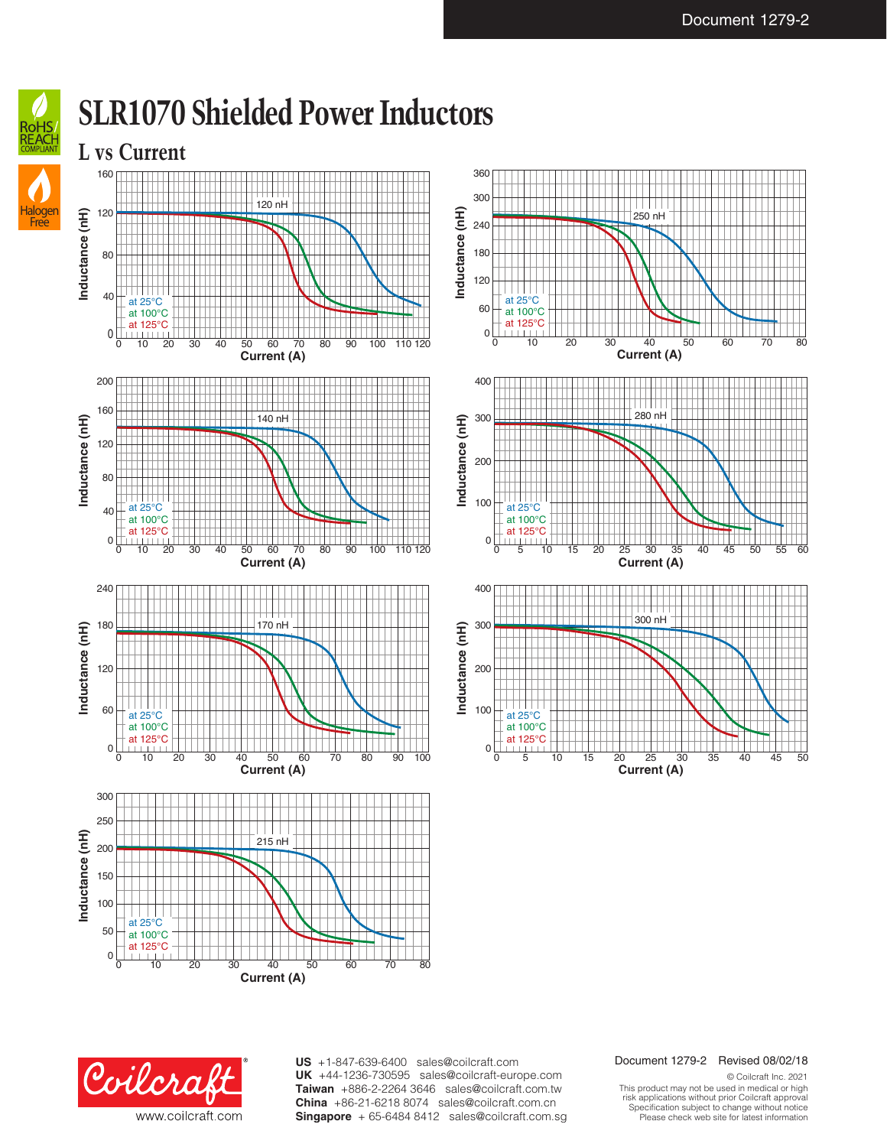

### **SLR1070 Shielded Power Inductors**









**Current (A)**

0 5 10 15 20 25 30 35 40 45 50

#### Document 1279-2 Revised 08/02/18

Coilcraft www.coilcraft.com **US** +1-847-639-6400 sales@coilcraft.com +44-1236-730595 sales@coilcraft-europe.com **UK** +886-2-2264 3646 sales@coilcraft.com.tw **Taiwan** +86-21-6218 8074 sales@coilcraft.com.cn **China** Singapore + 65-6484 8412 sales@coilcraft.com.sg

© Coilcraft Inc. 2021 This product may not be used in medical or high risk applications without prior Coilcraft approval. Specification subject to change without notice. Please check web site for latest information.